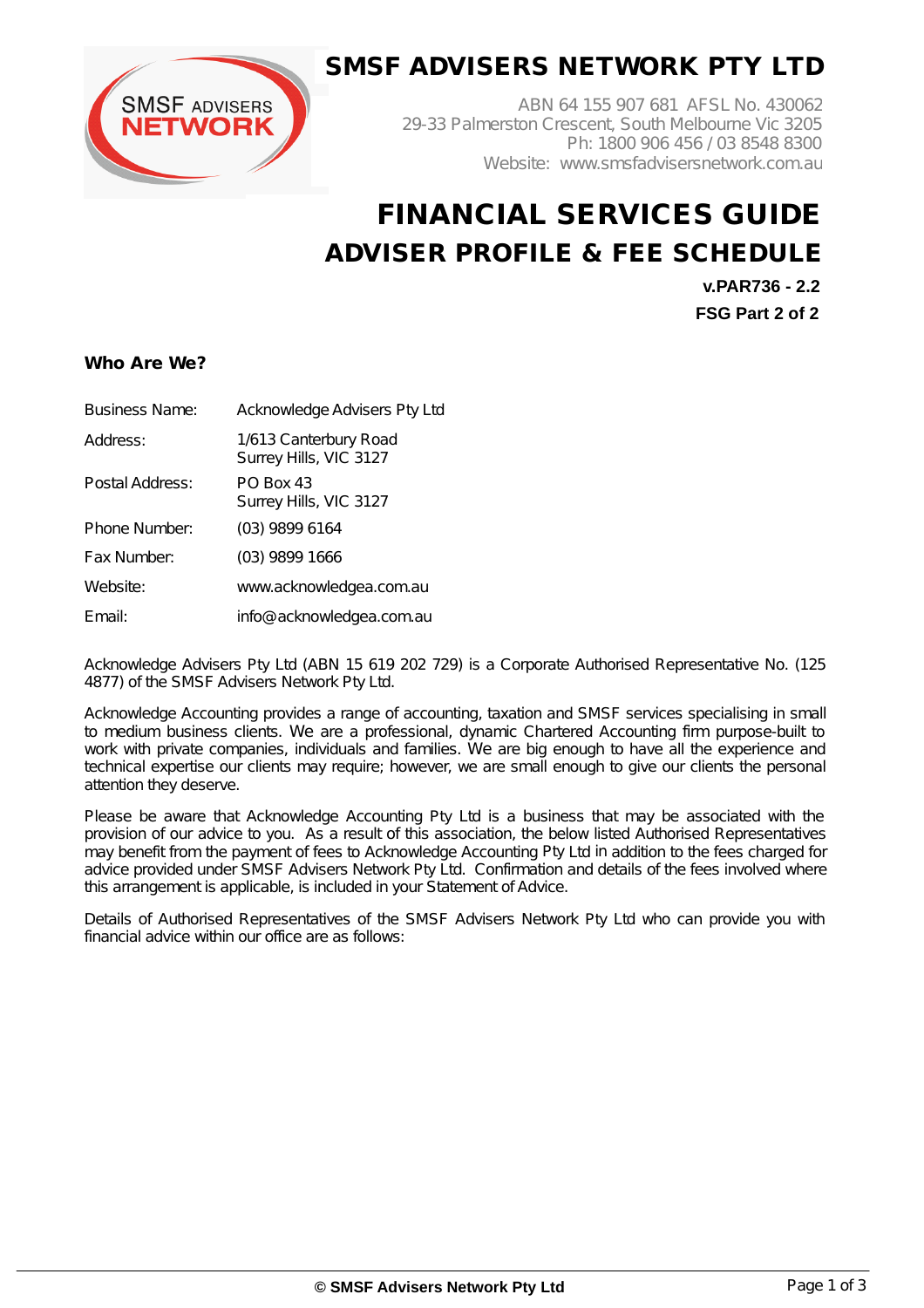

## **SMSF ADVISERS NETWORK PTY LTD**

ABN 64 155 907 681 AFSL No. 430062 29-33 Palmerston Crescent, South Melbourne Vic 3205 Ph: 1800 906 456 / 03 8548 8300 Website: www.smsfadvisersnetwork.com.au

# **FINANCIAL SERVICES GUIDE ADVISER PROFILE & FEE SCHEDULE**

**v.PAR736 - 2.2 FSG Part 2 of 2**

### **Who Are We?**

| <b>Business Name:</b> | Acknowledge Advisers Pty Ltd                    |
|-----------------------|-------------------------------------------------|
| Address:              | 1/613 Canterbury Road<br>Surrey Hills, VIC 3127 |
| Postal Address:       | <b>PO Box 43</b><br>Surrey Hills, VIC 3127      |
| Phone Number:         | (03) 9899 6164                                  |
| Fax Number:           | (03) 9899 1666                                  |
| Website:              | www.acknowledgea.com.au                         |
| Email:                | info@acknowledgea.com.au                        |

Acknowledge Advisers Pty Ltd (ABN 15 619 202 729) is a Corporate Authorised Representative No. (125 4877) of the SMSF Advisers Network Pty Ltd.

Acknowledge Accounting provides a range of accounting, taxation and SMSF services specialising in small to medium business clients. We are a professional, dynamic Chartered Accounting firm purpose-built to work with private companies, individuals and families. We are big enough to have all the experience and technical expertise our clients may require; however, we are small enough to give our clients the personal attention they deserve.

Please be aware that Acknowledge Accounting Pty Ltd is a business that may be associated with the provision of our advice to you. As a result of this association, the below listed Authorised Representatives may benefit from the payment of fees to Acknowledge Accounting Pty Ltd in addition to the fees charged for advice provided under SMSF Advisers Network Pty Ltd. Confirmation and details of the fees involved where this arrangement is applicable, is included in your Statement of Advice.

Details of Authorised Representatives of the SMSF Advisers Network Pty Ltd who can provide you with financial advice within our office are as follows: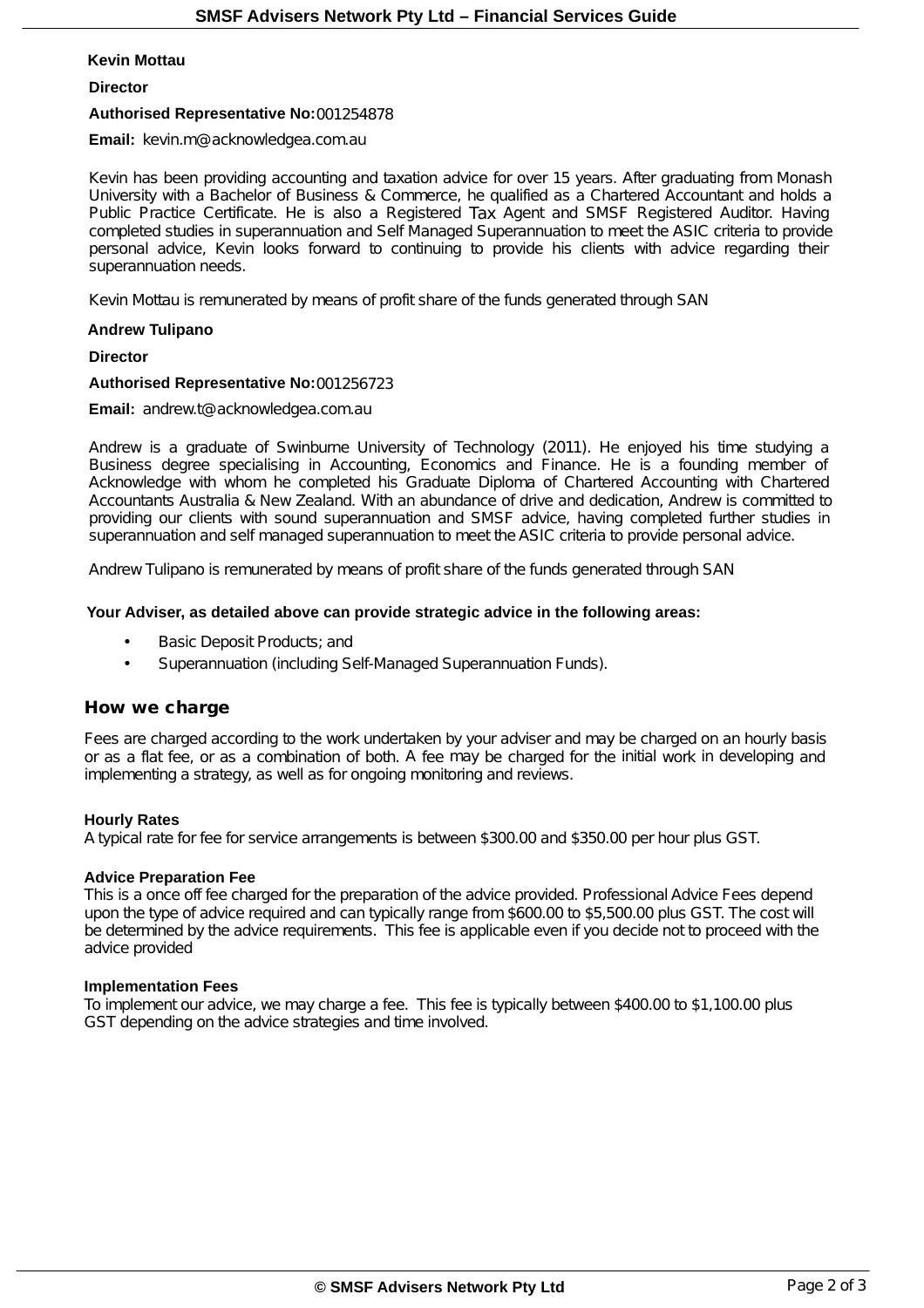#### **Kevin Mottau**

#### **Director**

#### **Authorised Representative No:**001254878

**Email:** kevin.m@acknowledgea.com.au

Kevin has been providing accounting and taxation advice for over 15 years. After graduating from Monash University with a Bachelor of Business & Commerce, he qualified as a Chartered Accountant and holds a Public Practice Certificate. He is also a Registered Tax Agent and SMSF Registered Auditor. Having completed studies in superannuation and Self Managed Superannuation to meet the ASIC criteria to provide personal advice, Kevin looks forward to continuing to provide his clients with advice regarding their superannuation needs.

Kevin Mottau is remunerated by means of profit share of the funds generated through SAN

#### **Andrew Tulipano**

**Director**

#### **Authorised Representative No:**001256723

**Email:** andrew.t@acknowledgea.com.au

Andrew is a graduate of Swinburne University of Technology (2011). He enjoyed his time studying a Business degree specialising in Accounting, Economics and Finance. He is a founding member of Acknowledge with whom he completed his Graduate Diploma of Chartered Accounting with Chartered Accountants Australia & New Zealand. With an abundance of drive and dedication, Andrew is committed to providing our clients with sound superannuation and SMSF advice, having completed further studies in superannuation and self managed superannuation to meet the ASIC criteria to provide personal advice.

Andrew Tulipano is remunerated by means of profit share of the funds generated through SAN

#### **Your Adviser, as detailed above can provide strategic advice in the following areas:**

- Basic Deposit Products; and
- Superannuation (including Self-Managed Superannuation Funds).

#### **How we charge**

Fees are charged according to the work undertaken by your adviser and may be charged on an hourly basis or as a flat fee, or as a combination of both. A fee may be charged for the initial work in developing and implementing a strategy, as well as for ongoing monitoring and reviews.

#### **Hourly Rates**

A typical rate for fee for service arrangements is between \$300.00 and \$350.00 per hour plus GST.

#### **Advice Preparation Fee**

This is a once off fee charged for the preparation of the advice provided. Professional Advice Fees depend upon the type of advice required and can typically range from \$600.00 to \$5,500.00 plus GST. The cost will be determined by the advice requirements. This fee is applicable even if you decide not to proceed with the advice provided

#### **Implementation Fees**

To implement our advice, we may charge a fee. This fee is typically between \$400.00 to \$1,100.00 plus GST depending on the advice strategies and time involved.